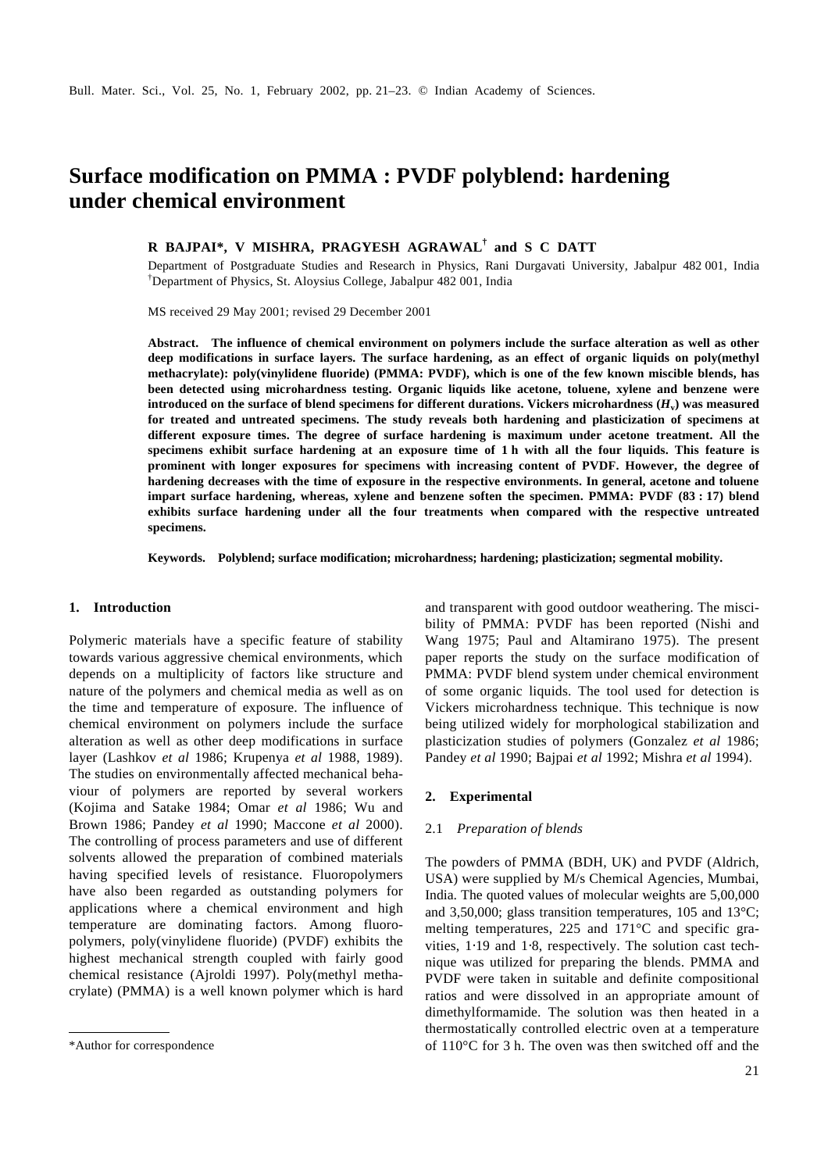# **Surface modification on PMMA : PVDF polyblend: hardening under chemical environment**

# **R BAJPAI\*, V MISHRA, PRAGYESH AGRAWAL† and S C DATT**

Department of Postgraduate Studies and Research in Physics, Rani Durgavati University, Jabalpur 482 001, India †Department of Physics, St. Aloysius College, Jabalpur 482 001, India

MS received 29 May 2001; revised 29 December 2001

**Abstract. The influence of chemical environment on polymers include the surface alteration as well as other deep modifications in surface layers. The surface hardening, as an effect of organic liquids on poly(methyl methacrylate): poly(vinylidene fluoride) (PMMA: PVDF), which is one of the few known miscible blends, has been detected using microhardness testing. Organic liquids like acetone, toluene, xylene and benzene were introduced on the surface of blend specimens for different durations. Vickers microhardness (***H***<sup>v</sup> ) was measured for treated and untreated specimens. The study reveals both hardening and plasticization of specimens at different exposure times. The degree of surface hardening is maximum under acetone treatment. All the specimens exhibit surface hardening at an exposure time of 1 h with all the four liquids. This feature is prominent with longer exposures for specimens with increasing content of PVDF. However, the degree of hardening decreases with the time of exposure in the respective environments. In general, acetone and toluene impart surface hardening, whereas, xylene and benzene soften the specimen. PMMA: PVDF (83 : 17) blend exhibits surface hardening under all the four treatments when compared with the respective untreated specimens.**

**Keywords. Polyblend; surface modification; microhardness; hardening; plasticization; segmental mobility.**

# **1. Introduction**

Polymeric materials have a specific feature of stability towards various aggressive chemical environments, which depends on a multiplicity of factors like structure and nature of the polymers and chemical media as well as on the time and temperature of exposure. The influence of chemical environment on polymers include the surface alteration as well as other deep modifications in surface layer (Lashkov *et al* 1986; Krupenya *et al* 1988, 1989). The studies on environmentally affected mechanical behaviour of polymers are reported by several workers (Kojima and Satake 1984; Omar *et al* 1986; Wu and Brown 1986; Pandey *et al* 1990; Maccone *et al* 2000). The controlling of process parameters and use of different solvents allowed the preparation of combined materials having specified levels of resistance. Fluoropolymers have also been regarded as outstanding polymers for applications where a chemical environment and high temperature are dominating factors. Among fluoropolymers, poly(vinylidene fluoride) (PVDF) exhibits the highest mechanical strength coupled with fairly good chemical resistance (Ajroldi 1997). Poly(methyl methacrylate) (PMMA) is a well known polymer which is hard

and transparent with good outdoor weathering. The miscibility of PMMA: PVDF has been reported (Nishi and Wang 1975; Paul and Altamirano 1975). The present paper reports the study on the surface modification of PMMA: PVDF blend system under chemical environment of some organic liquids. The tool used for detection is Vickers microhardness technique. This technique is now being utilized widely for morphological stabilization and plasticization studies of polymers (Gonzalez *et al* 1986; Pandey *et al* 1990; Bajpai *et al* 1992; Mishra *et al* 1994).

#### **2. Experimental**

# 2.1 *Preparation of blends*

The powders of PMMA (BDH, UK) and PVDF (Aldrich, USA) were supplied by M/s Chemical Agencies, Mumbai, India. The quoted values of molecular weights are 5,00,000 and 3,50,000; glass transition temperatures, 105 and 13°C; melting temperatures, 225 and 171°C and specific gravities, 1⋅19 and 1⋅8, respectively. The solution cast technique was utilized for preparing the blends. PMMA and PVDF were taken in suitable and definite compositional ratios and were dissolved in an appropriate amount of dimethylformamide. The solution was then heated in a thermostatically controlled electric oven at a temperature \*Author for correspondence of 110 $^{\circ}$ C for 3 h. The oven was then switched off and the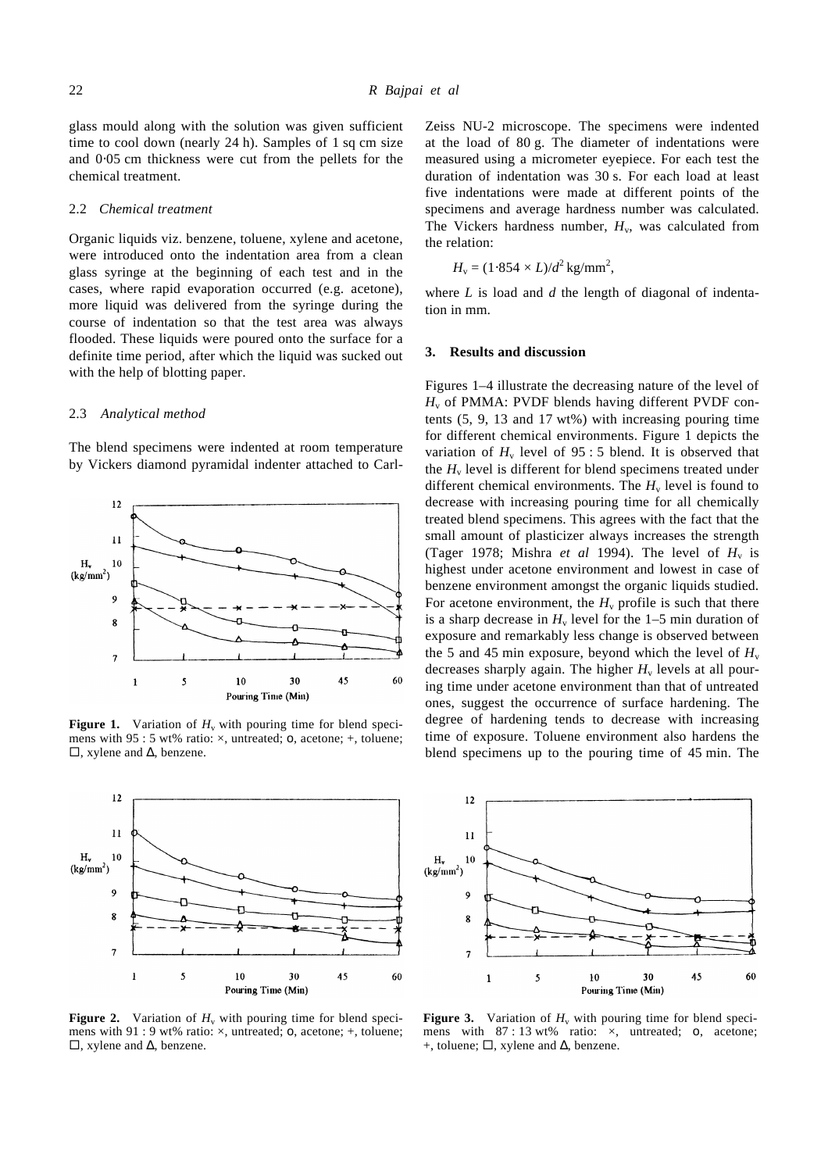glass mould along with the solution was given sufficient time to cool down (nearly 24 h). Samples of 1 sq cm size and 0⋅05 cm thickness were cut from the pellets for the chemical treatment.

#### 2.2 *Chemical treatment*

Organic liquids viz. benzene, toluene, xylene and acetone, were introduced onto the indentation area from a clean glass syringe at the beginning of each test and in the cases, where rapid evaporation occurred (e.g. acetone), more liquid was delivered from the syringe during the course of indentation so that the test area was always flooded. These liquids were poured onto the surface for a definite time period, after which the liquid was sucked out with the help of blotting paper.

#### 2.3 *Analytical method*

The blend specimens were indented at room temperature by Vickers diamond pyramidal indenter attached to Carl-



**Figure 1.** Variation of  $H_v$  with pouring time for blend specimens with 95 : 5 wt% ratio: ×, untreated; o, acetone; +, toluene;  $\square$ , xylene and  $\triangle$ , benzene.



**Figure 2.** Variation of  $H_v$  with pouring time for blend specimens with 91 : 9 wt% ratio: ×, untreated; o, acetone; +, toluene;  $\square$ , xylene and  $\triangle$ , benzene.

Zeiss NU-2 microscope. The specimens were indented at the load of 80 g. The diameter of indentations were measured using a micrometer eyepiece. For each test the duration of indentation was 30 s. For each load at least five indentations were made at different points of the specimens and average hardness number was calculated. The Vickers hardness number,  $H_v$ , was calculated from the relation:

$$
H_{\rm v} = (1.854 \times L)/d^2 \,\text{kg/mm}^2,
$$

where *L* is load and *d* the length of diagonal of indentation in mm.

### **3. Results and discussion**

Figures 1–4 illustrate the decreasing nature of the level of *H*v of PMMA: PVDF blends having different PVDF contents (5, 9, 13 and 17 wt%) with increasing pouring time for different chemical environments. Figure 1 depicts the variation of  $H_v$  level of 95 : 5 blend. It is observed that the  $H<sub>v</sub>$  level is different for blend specimens treated under different chemical environments. The  $H<sub>v</sub>$  level is found to decrease with increasing pouring time for all chemically treated blend specimens. This agrees with the fact that the small amount of plasticizer always increases the strength (Tager 1978; Mishra *et al* 1994). The level of  $H_v$  is highest under acetone environment and lowest in case of benzene environment amongst the organic liquids studied. For acetone environment, the  $H<sub>v</sub>$  profile is such that there is a sharp decrease in  $H_v$  level for the 1–5 min duration of exposure and remarkably less change is observed between the 5 and 45 min exposure, beyond which the level of  $H_v$ decreases sharply again. The higher  $H<sub>v</sub>$  levels at all pouring time under acetone environment than that of untreated ones, suggest the occurrence of surface hardening. The degree of hardening tends to decrease with increasing time of exposure. Toluene environment also hardens the blend specimens up to the pouring time of 45 min. The



**Figure 3.** Variation of  $H_v$  with pouring time for blend specimens with  $87 : 13$  wt% ratio:  $\times$ , untreated; o, acetone; +, toluene;  $\Box$ , xylene and  $\Delta$ , benzene.